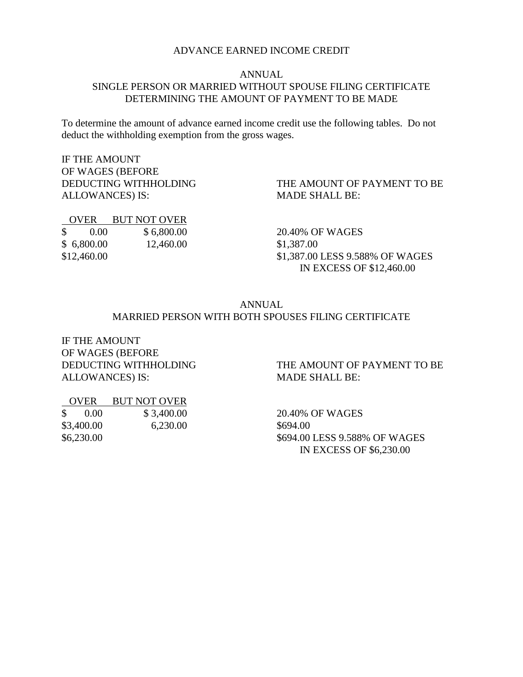#### ADVANCE EARNED INCOME CREDIT

#### ANNUAL SINGLE PERSON OR MARRIED WITHOUT SPOUSE FILING CERTIFICATE DETERMINING THE AMOUNT OF PAYMENT TO BE MADE

To determine the amount of advance earned income credit use the following tables. Do not deduct the withholding exemption from the gross wages.

IF THE AMOUNT OF WAGES (BEFORE DEDUCTING WITHHOLDING ALLOWANCES) IS:

 OVER BUT NOT OVER \$ 0.00 \$ 6,800.00 \$ 6,800.00 12,460.00

\$12,460.00

THE AMOUNT OF PAYMENT TO BE MADE SHALL BE:

20.40% OF WAGES \$1,387.00 \$1,387.00 LESS 9.588% OF WAGES IN EXCESS OF \$12,460.00

#### ANNUAL MARRIED PERSON WITH BOTH SPOUSES FILING CERTIFICATE

IF THE AMOUNT OF WAGES (BEFORE ALLOWANCES) IS: MADE SHALL BE:

# DEDUCTING WITHHOLDING THE AMOUNT OF PAYMENT TO BE

| OVER.                              | <b>BUT NOT OVER</b> |
|------------------------------------|---------------------|
| $\frac{\text{S}}{\text{S}} = 0.00$ | \$3,400.00          |
| \$3,400.00                         | 6,230.00            |
| \$6,230.00                         |                     |

20.40% OF WAGES \$694.00 \$694.00 LESS 9.588% OF WAGES IN EXCESS OF \$6,230.00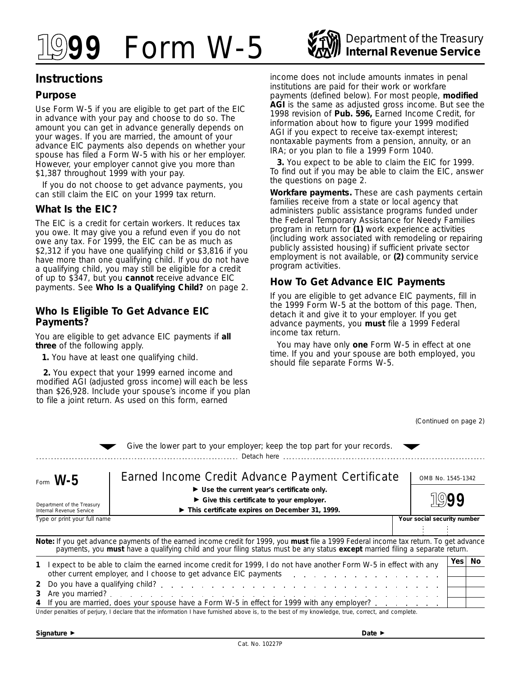

# **Instructions**

### **Purpose**

Use Form W-5 if you are eligible to get part of the EIC in advance with your pay and choose to do so. The amount you can get in advance generally depends on your wages. If you are married, the amount of your advance EIC payments also depends on whether your spouse has filed a Form W-5 with his or her employer. However, your employer cannot give you more than \$1,387 throughout 1999 with your pay.

If you do not choose to get advance payments, you can still claim the EIC on your 1999 tax return.

#### **What Is the EIC?**

The EIC is a credit for certain workers. It reduces tax you owe. It may give you a refund even if you do not owe any tax. For 1999, the EIC can be as much as \$2,312 if you have one qualifying child or \$3,816 if you have more than one qualifying child. If you do not have a qualifying child, you may still be eligible for a credit of up to \$347, but you **cannot** receive advance EIC payments. See **Who Is a Qualifying Child?** on page 2.

#### **Who Is Eligible To Get Advance EIC Payments?**

You are eligible to get advance EIC payments if **all three** of the following apply.

**1.** You have at least one qualifying child.

**2.** You expect that your 1999 earned income and modified AGI (adjusted gross income) will each be less than \$26,928. Include your spouse's income if you plan to file a joint return. As used on this form, earned

income does not include amounts inmates in penal institutions are paid for their work or workfare payments (defined below). For most people, **modified AGI** is the same as adjusted gross income. But see the 1998 revision of **Pub. 596,** Earned Income Credit, for information about how to figure your 1999 modified AGI if you expect to receive tax-exempt interest; nontaxable payments from a pension, annuity, or an IRA; or you plan to file a 1999 Form 1040.

**3.** You expect to be able to claim the EIC for 1999. To find out if you may be able to claim the EIC, answer the questions on page 2.

**Workfare payments.** These are cash payments certain families receive from a state or local agency that administers public assistance programs funded under the Federal Temporary Assistance for Needy Families program in return for **(1)** work experience activities (including work associated with remodeling or repairing publicly assisted housing) if sufficient private sector employment is not available, or **(2)** community service program activities.

## **How To Get Advance EIC Payments**

If you are eligible to get advance EIC payments, fill in the 1999 Form W-5 at the bottom of this page. Then, detach it and give it to your employer. If you get advance payments, you **must** file a 1999 Federal income tax return.

You may have only **one** Form W-5 in effect at one time. If you and your spouse are both employed, you should file separate Forms W-5.

*(Continued on page 2)* 

|                                                                                                                                                                                                                                                                                                                                                                                                                                                                          | Give the lower part to your employer; keep the top part for your records.                                                                                                                                                                                               |  |                   |  |
|--------------------------------------------------------------------------------------------------------------------------------------------------------------------------------------------------------------------------------------------------------------------------------------------------------------------------------------------------------------------------------------------------------------------------------------------------------------------------|-------------------------------------------------------------------------------------------------------------------------------------------------------------------------------------------------------------------------------------------------------------------------|--|-------------------|--|
| Form $W-5$                                                                                                                                                                                                                                                                                                                                                                                                                                                               | Earned Income Credit Advance Payment Certificate<br>$\blacktriangleright$ Use the current year's certificate only.<br>$\triangleright$ Give this certificate to your employer.<br>This certificate expires on December 31, 1999.                                        |  | OMB No. 1545-1342 |  |
| Department of the Treasury<br>Internal Revenue Service                                                                                                                                                                                                                                                                                                                                                                                                                   |                                                                                                                                                                                                                                                                         |  |                   |  |
| Type or print your full name<br>Your social security number                                                                                                                                                                                                                                                                                                                                                                                                              |                                                                                                                                                                                                                                                                         |  |                   |  |
|                                                                                                                                                                                                                                                                                                                                                                                                                                                                          | Note: If you get advance payments of the earned income credit for 1999, you must file a 1999 Federal income tax return. To get advance<br>payments, you must have a qualifying child and your filing status must be any status except married filing a separate return. |  |                   |  |
| Yes  <br>No.<br>1 Lexpect to be able to claim the earned income credit for 1999, I do not have another Form W-5 in effect with any<br>other current employer, and I choose to get advance EIC payments and a substitution of the current employer, and I choose to get advance EIC payments and a substitution of the current employer, and I choose to get advance<br>3<br>4 If you are married, does your spouse have a Form W-5 in effect for 1999 with any employer? |                                                                                                                                                                                                                                                                         |  |                   |  |

Under penalties of perjury, I declare that the information I have furnished above is, to the best of my knowledge, true, correct, and complete.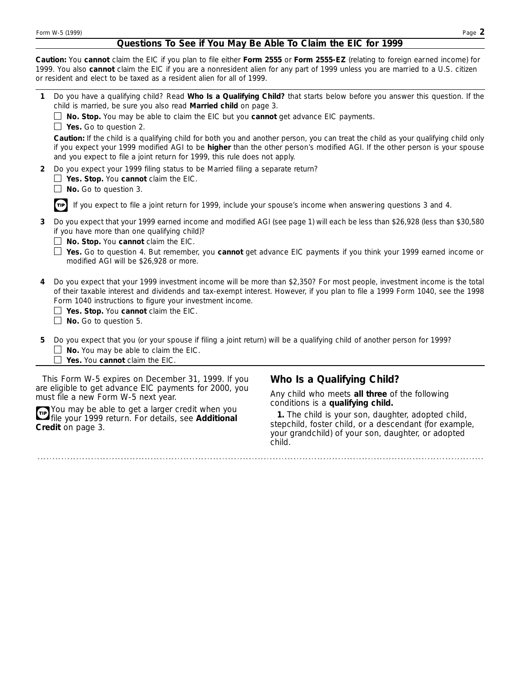# **Questions To See if You May Be Able To Claim the EIC for 1999**

**Caution:** *You cannot claim the EIC if you plan to file either Form 2555 or Form 2555-EZ (relating to foreign earned income) for 1999. You also cannot claim the EIC if you are a nonresident alien for any part of 1999 unless you are married to a U.S. citizen or resident and elect to be taxed as a resident alien for all of 1999.* 

| 1                                                                                                                                                                                                                           | Do you have a qualifying child? Read Who Is a Qualifying Child? that starts below before you answer this question. If the<br>child is married, be sure you also read Married child on page 3.                                                                                                                                                                                                        |                                                                                                                                                                                                                                                                  |  |
|-----------------------------------------------------------------------------------------------------------------------------------------------------------------------------------------------------------------------------|------------------------------------------------------------------------------------------------------------------------------------------------------------------------------------------------------------------------------------------------------------------------------------------------------------------------------------------------------------------------------------------------------|------------------------------------------------------------------------------------------------------------------------------------------------------------------------------------------------------------------------------------------------------------------|--|
|                                                                                                                                                                                                                             | $\Box$ No. Stop. You may be able to claim the EIC but you cannot get advance EIC payments.<br>$\Box$ Yes. Go to question 2.                                                                                                                                                                                                                                                                          |                                                                                                                                                                                                                                                                  |  |
|                                                                                                                                                                                                                             | and you expect to file a joint return for 1999, this rule does not apply.                                                                                                                                                                                                                                                                                                                            | Caution: If the child is a qualifying child for both you and another person, you can treat the child as your qualifying child only<br>if you expect your 1999 modified AGI to be higher than the other person's modified AGI. If the other person is your spouse |  |
| $\mathbf{2}$                                                                                                                                                                                                                | Do you expect your 1999 filing status to be Married filing a separate return?<br>$\Box$ Yes. Stop. You cannot claim the EIC.<br>$\Box$ No. Go to question 3.                                                                                                                                                                                                                                         |                                                                                                                                                                                                                                                                  |  |
|                                                                                                                                                                                                                             | $\pi$ If you expect to file a joint return for 1999, include your spouse's income when answering questions 3 and 4.                                                                                                                                                                                                                                                                                  |                                                                                                                                                                                                                                                                  |  |
| 3                                                                                                                                                                                                                           | Do you expect that your 1999 earned income and modified AGI (see page 1) will each be less than \$26,928 (less than \$30,580<br>if you have more than one qualifying child)?<br>$\Box$ No. Stop. You cannot claim the EIC.                                                                                                                                                                           |                                                                                                                                                                                                                                                                  |  |
|                                                                                                                                                                                                                             | modified AGI will be \$26,928 or more.                                                                                                                                                                                                                                                                                                                                                               | □ Yes. Go to question 4. But remember, you cannot get advance EIC payments if you think your 1999 earned income or                                                                                                                                               |  |
| 4                                                                                                                                                                                                                           | Do you expect that your 1999 investment income will be more than \$2,350? For most people, investment income is the total<br>of their taxable interest and dividends and tax-exempt interest. However, if you plan to file a 1999 Form 1040, see the 1998<br>Form 1040 instructions to figure your investment income.<br>$\Box$ Yes. Stop. You cannot claim the EIC.<br>$\Box$ No. Go to question 5. |                                                                                                                                                                                                                                                                  |  |
| 5.                                                                                                                                                                                                                          | Do you expect that you (or your spouse if filing a joint return) will be a qualifying child of another person for 1999?<br>$\Box$ No. You may be able to claim the EIC.<br>Yes. You cannot claim the EIC.                                                                                                                                                                                            |                                                                                                                                                                                                                                                                  |  |
|                                                                                                                                                                                                                             | This Form W-5 expires on December 31, 1999. If you                                                                                                                                                                                                                                                                                                                                                   | Who Is a Qualifying Child?                                                                                                                                                                                                                                       |  |
| are eligible to get advance EIC payments for 2000, you<br>must file a new Form W-5 next year.<br>You may be able to get a larger credit when you<br>file your 1999 return. For details, see Additional<br>Credit on page 3. |                                                                                                                                                                                                                                                                                                                                                                                                      | Any child who meets all three of the following<br>conditions is a qualifying child.                                                                                                                                                                              |  |
|                                                                                                                                                                                                                             |                                                                                                                                                                                                                                                                                                                                                                                                      | 1. The child is your son, daughter, adopted child,<br>stepchild, foster child, or a descendant (for example,<br>your grandchild) of your son, daughter, or adopted<br>child.                                                                                     |  |

. . . . . . . . . . . . . . .

. . . . . . . . . . . . . . . . . . .